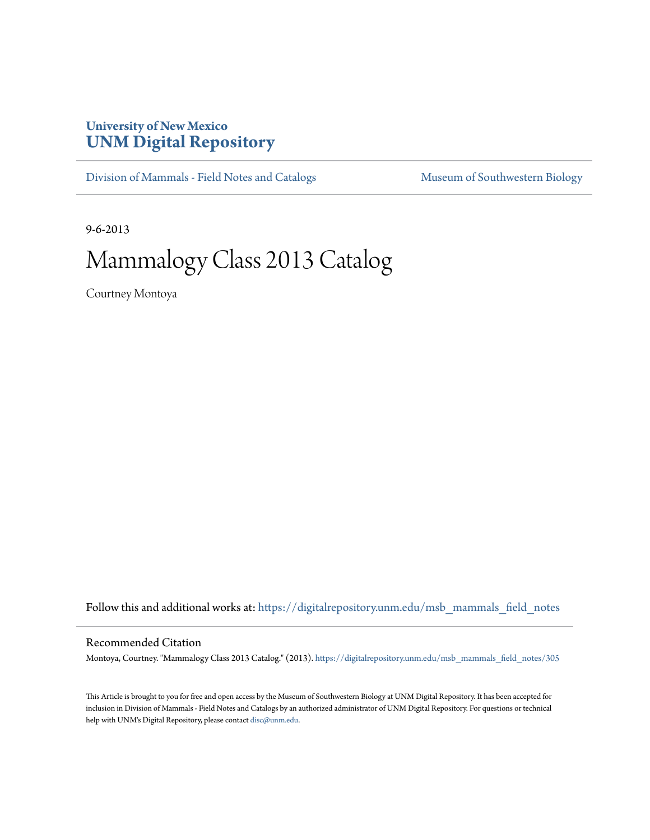## **University of New Mexico [UNM Digital Repository](https://digitalrepository.unm.edu?utm_source=digitalrepository.unm.edu%2Fmsb_mammals_field_notes%2F305&utm_medium=PDF&utm_campaign=PDFCoverPages)**

[Division of Mammals - Field Notes and Catalogs](https://digitalrepository.unm.edu/msb_mammals_field_notes?utm_source=digitalrepository.unm.edu%2Fmsb_mammals_field_notes%2F305&utm_medium=PDF&utm_campaign=PDFCoverPages) [Museum of Southwestern Biology](https://digitalrepository.unm.edu/msb?utm_source=digitalrepository.unm.edu%2Fmsb_mammals_field_notes%2F305&utm_medium=PDF&utm_campaign=PDFCoverPages)

9-6-2013

## Mammalogy Class 2013 Catalog

Courtney Montoya

Follow this and additional works at: [https://digitalrepository.unm.edu/msb\\_mammals\\_field\\_notes](https://digitalrepository.unm.edu/msb_mammals_field_notes?utm_source=digitalrepository.unm.edu%2Fmsb_mammals_field_notes%2F305&utm_medium=PDF&utm_campaign=PDFCoverPages)

## Recommended Citation

Montoya, Courtney. "Mammalogy Class 2013 Catalog." (2013). [https://digitalrepository.unm.edu/msb\\_mammals\\_field\\_notes/305](https://digitalrepository.unm.edu/msb_mammals_field_notes/305?utm_source=digitalrepository.unm.edu%2Fmsb_mammals_field_notes%2F305&utm_medium=PDF&utm_campaign=PDFCoverPages)

This Article is brought to you for free and open access by the Museum of Southwestern Biology at UNM Digital Repository. It has been accepted for inclusion in Division of Mammals - Field Notes and Catalogs by an authorized administrator of UNM Digital Repository. For questions or technical help with UNM's Digital Repository, please contact [disc@unm.edu](mailto:disc@unm.edu).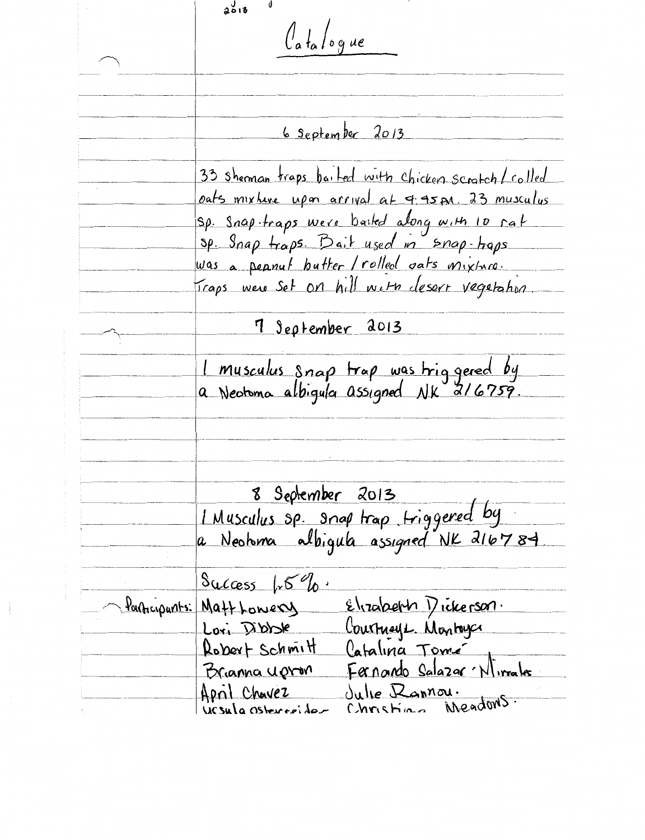$2013$  $\int_a f_a / o g$ ue 6 September 2013 33 sheman traps bailed with chicken scratch/colled oats mixture upon arrival at 4.45 pm. 23 musculus Sp. Snap-traps were bailed along with 10 rat sp. Snap traps. Bait used in snap-traps was a peanul butter / rolled vats mixture icaps were set on hill with desert vegetation. 7 September 2013 1 musculus snap trap was triggered by<br>a Neotoma albigula assigned NK 216759. <u>8 September 2013</u> I Musculus sp. anap trap triggered by a Neotoma albigula assigned NK 216784 Success  $15%$ Elizabeth Dickerson. Participants: Matt Lowery Courtneys Montage Lori Dibble Robert Schmitt Catalina Tomé Fernando Salazar Nivrales Brianna upron Julie Rannou. April Chavez ineadons.  $Chrshiaa$ UCSula Osterreider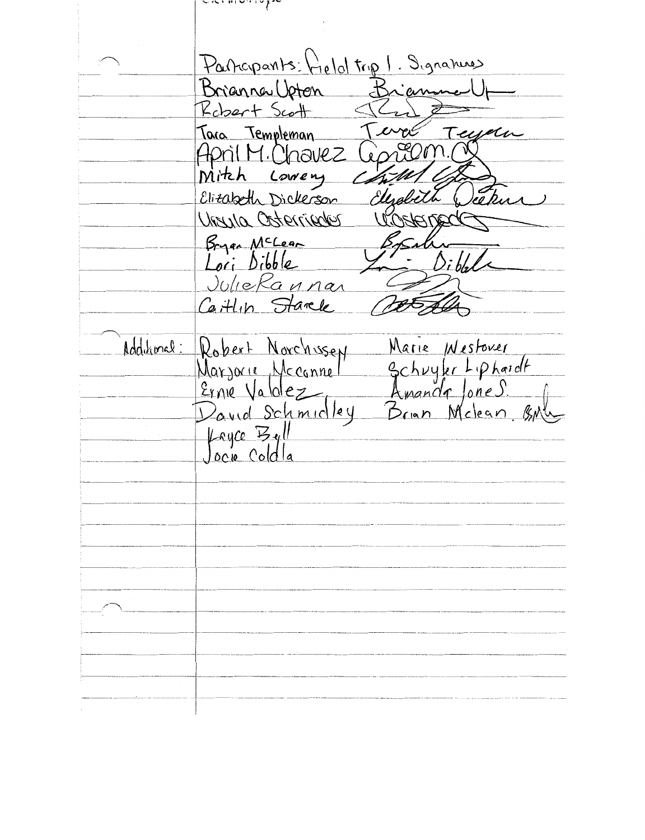$\sim$   $\sim$   $\sim$   $\sim$   $\sim$   $\sim$   $\sim$ Participarits: Hield trip 1. Signalises Brianna Upten Brian Robert Scott cyclu Tara Templeman April M. Chavez <u>Mitch</u> Lowery Elitabeth Dickerson Ursula Osterrieder Bryan McLear Di bli Loci Dibble JulieRannan Caitlin Starck Additional: Marie *Westoner* Robert Norchissen Schuyler Liphardt<br>Amande Jones. Marjorie Mcconnel Ernie Valolez David Schmidley Brian Melean BM Layce Byll<br>Jocu Coldla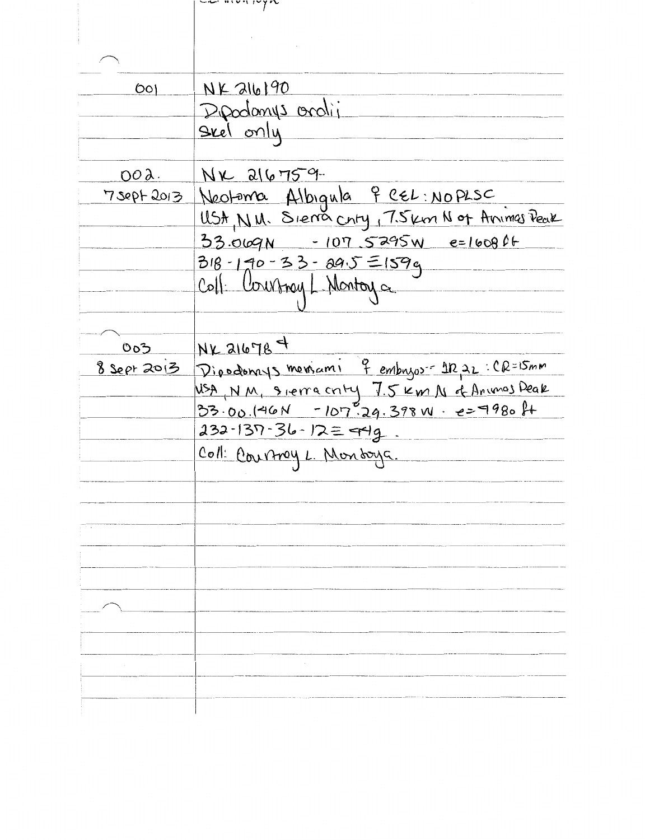| $\circ$       | $NF$ alb $190$                                                                   |
|---------------|----------------------------------------------------------------------------------|
|               | Dipadamys oralii                                                                 |
|               | <u>Seel only</u>                                                                 |
|               |                                                                                  |
| $00\lambda$ . | $N_{k}$ alg 759.                                                                 |
| 7 sept 2013   | Neotoma Albigula 9 CEL: NOPLSC<br>USA, N. W. Siema Chty, 7. Skm N of Animas Peak |
|               |                                                                                  |
|               | 33.069N - 107.5295W e=1608ft                                                     |
|               | 318-190-33-295=159g<br>Coll: Courtnay L. Montoy a                                |
|               |                                                                                  |
|               |                                                                                  |
|               |                                                                                  |
| 0o3           | $NK$ 21678 $4$<br>8 Sept 2013 Dipodomys memami & embryor - 1222:CR=15mm          |
|               | USA, NM, Sierracnty 7.5 Km N of Animas Peak                                      |
|               | $33.00.(46N - 107.29.398N - 25980)$                                              |
|               | $232 - 137 - 36 - 12 = 449$ .                                                    |
|               | Coll: Courtroy L. Mondaya.                                                       |
|               |                                                                                  |
|               |                                                                                  |
|               |                                                                                  |
|               |                                                                                  |
|               |                                                                                  |
|               |                                                                                  |
|               |                                                                                  |
|               |                                                                                  |
|               |                                                                                  |
|               |                                                                                  |
|               |                                                                                  |
|               |                                                                                  |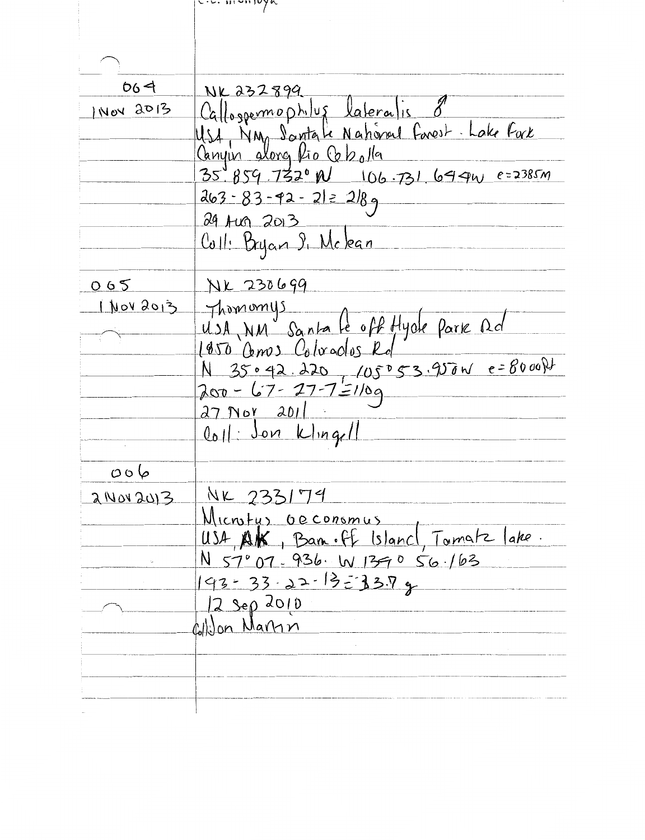|                     | $\epsilon$ . $\epsilon$ . $\epsilon$ . $\epsilon$ . $\epsilon$           |
|---------------------|--------------------------------------------------------------------------|
|                     |                                                                          |
|                     |                                                                          |
|                     |                                                                          |
| 664                 | NK 232899                                                                |
| INOY 2013           |                                                                          |
|                     | Calloggermophilus lateralis 8<br>USA NM Santale Nahoral Farest Lake Fark |
|                     |                                                                          |
|                     | $35^{4}859.7320N$ 106.731.649w e=2385m                                   |
|                     | $263 - 83 - 92 - 212289$                                                 |
|                     | 29 Aug 2013                                                              |
|                     | Coll: Bryan 9, Mclean                                                    |
|                     |                                                                          |
| 065                 | NK 230699                                                                |
|                     | I NOV 2013 Thomomys                                                      |
|                     | USA, NM Santa le off Hyde Park Qd                                        |
|                     | 1950 Comos Coluados Rd                                                   |
|                     |                                                                          |
|                     | $200 - 67 - 27 - 7 = 1/09$                                               |
|                     | $27$ Not $201$                                                           |
|                     | $ $ loll: Jon Kling/                                                     |
|                     |                                                                          |
| $\circ \circ \circ$ |                                                                          |
| 2 Nov 2013          | NK 233179                                                                |
|                     | Microtus Occonomus                                                       |
|                     | USA, AK, Ban. off Island, Tomatz lake.                                   |
|                     | N 57°07-936. W 1390 56.163                                               |
|                     | $193 - 33 - 22 - 13 = 33.79$                                             |
|                     | $2$ Sep 2010                                                             |
|                     | Cililon Marin                                                            |
|                     |                                                                          |
|                     |                                                                          |
|                     |                                                                          |
|                     |                                                                          |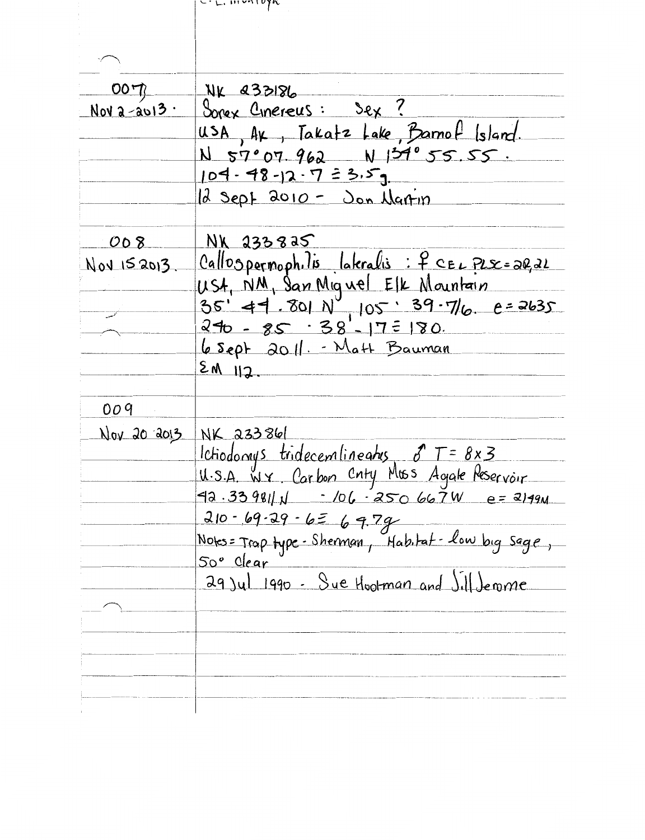|             | $c_{\text{t}}$ , montofic                                                             |
|-------------|---------------------------------------------------------------------------------------|
|             |                                                                                       |
|             |                                                                                       |
|             |                                                                                       |
| 007         | NK 233186                                                                             |
| Nova-avi3.  | Sorex Cinereus: Sex?                                                                  |
|             | usa, Ax, Takatz Lake, Barnof Island.                                                  |
|             | $N$ 57°07.962 $N$ 134°55.55.                                                          |
|             |                                                                                       |
|             | $104 - 98 - 12 - 7 = 3.59$                                                            |
|             | $d$ sept 2010 - Jon Nartin                                                            |
| 008         | <u>NK 233825</u>                                                                      |
| Nov 152013  | Callospermophilis lateralis: f CEL PLS=2Q2L                                           |
|             | USA, NM, San Miguel Elk Mountain<br>35' 44. 801 N 105: 39.7/6. 0=2635                 |
|             |                                                                                       |
|             | $240 - 85 - 38 - 17 = 180$                                                            |
|             |                                                                                       |
|             | 6 Sept 2011. - Matt Bauman                                                            |
|             | $2M$ 112.                                                                             |
| 009         |                                                                                       |
| Nov 20 2013 | NK 233861                                                                             |
|             |                                                                                       |
|             | Ictiodomys tridecemlineatus 8 T = 8x3<br>U.S.A. W.Y. Carbon Cnty Muss Agale Reservoir |
|             | $42.339811 \text{ N}$ - 106. $250667\text{ W}$ e= 2149M                               |
|             |                                                                                       |
|             | $210 - 69 - 29 - 626 - 9.79$                                                          |
|             | Notes = Trap type - Sherman, Mab.tat - low big sage<br>50° Clear                      |
|             |                                                                                       |
|             | 29 Jul 1990 - Sue Hootman and Jill Jerome                                             |
|             |                                                                                       |
|             |                                                                                       |
|             |                                                                                       |
|             |                                                                                       |
|             |                                                                                       |
|             |                                                                                       |